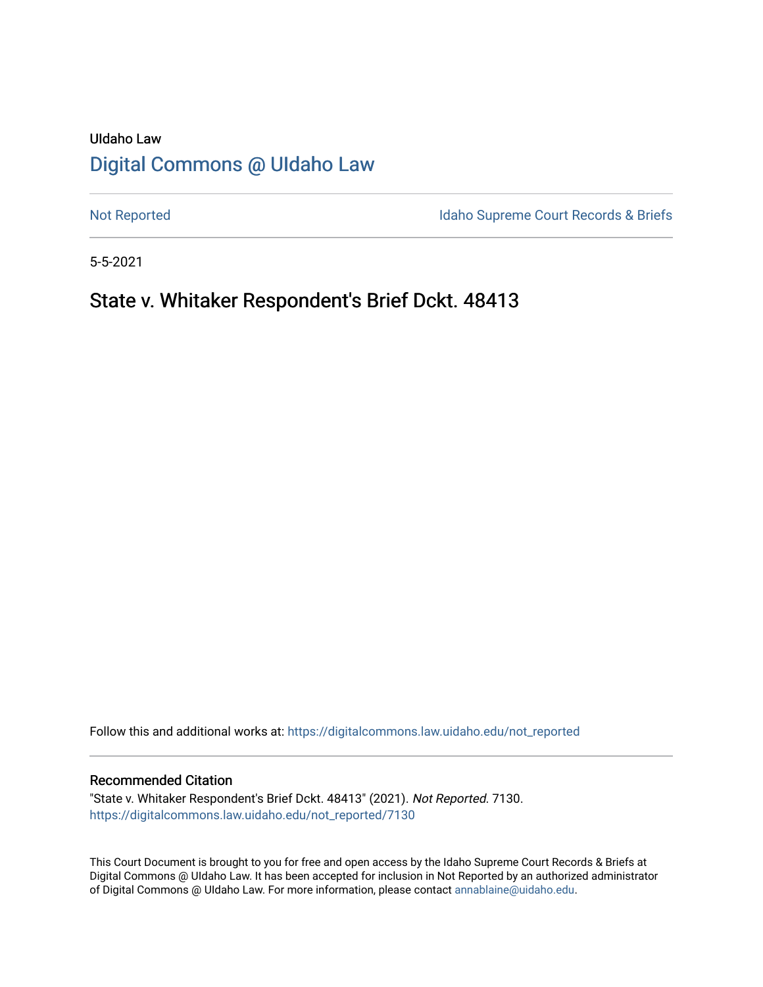# UIdaho Law [Digital Commons @ UIdaho Law](https://digitalcommons.law.uidaho.edu/)

[Not Reported](https://digitalcommons.law.uidaho.edu/not_reported) **Idaho Supreme Court Records & Briefs** 

5-5-2021

# State v. Whitaker Respondent's Brief Dckt. 48413

Follow this and additional works at: [https://digitalcommons.law.uidaho.edu/not\\_reported](https://digitalcommons.law.uidaho.edu/not_reported?utm_source=digitalcommons.law.uidaho.edu%2Fnot_reported%2F7130&utm_medium=PDF&utm_campaign=PDFCoverPages) 

### Recommended Citation

"State v. Whitaker Respondent's Brief Dckt. 48413" (2021). Not Reported. 7130. [https://digitalcommons.law.uidaho.edu/not\\_reported/7130](https://digitalcommons.law.uidaho.edu/not_reported/7130?utm_source=digitalcommons.law.uidaho.edu%2Fnot_reported%2F7130&utm_medium=PDF&utm_campaign=PDFCoverPages)

This Court Document is brought to you for free and open access by the Idaho Supreme Court Records & Briefs at Digital Commons @ UIdaho Law. It has been accepted for inclusion in Not Reported by an authorized administrator of Digital Commons @ UIdaho Law. For more information, please contact [annablaine@uidaho.edu](mailto:annablaine@uidaho.edu).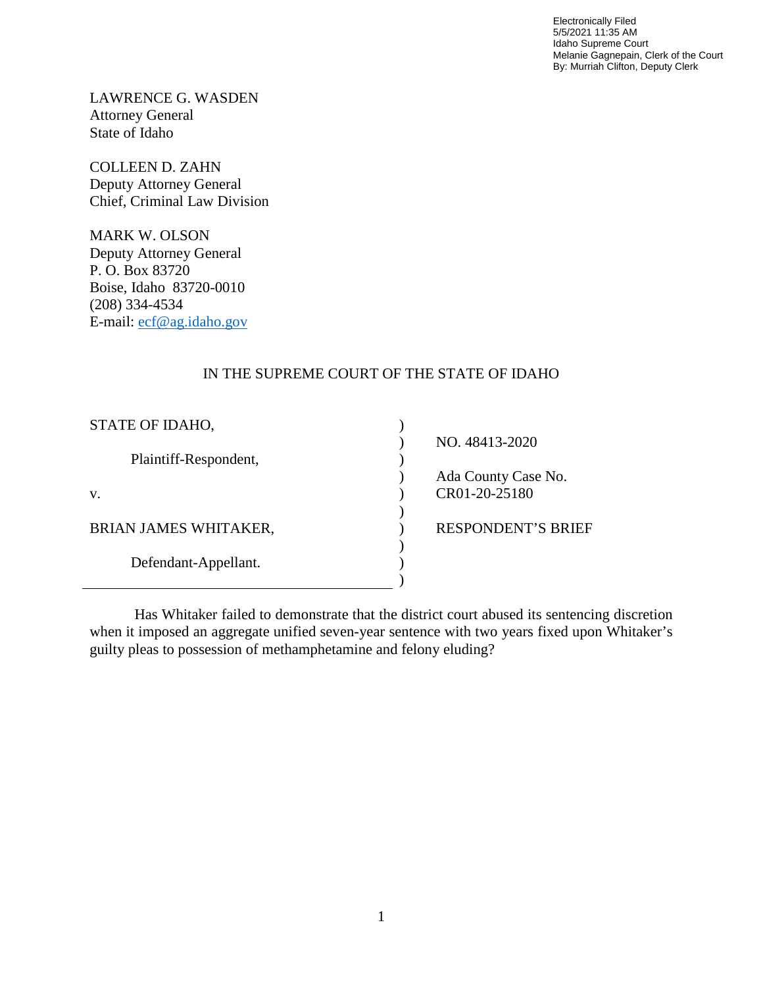Electronically Filed 5/5/2021 11:35 AM Idaho Supreme Court Melanie Gagnepain, Clerk of the Court By: Murriah Clifton, Deputy Clerk

LAWRENCE G. WASDEN Attorney General State of Idaho

COLLEEN D. ZAHN Deputy Attorney General Chief, Criminal Law Division

MARK W. OLSON Deputy Attorney General P. O. Box 83720 Boise, Idaho 83720-0010 (208) 334-4534 E-mail: [ecf@ag.idaho.gov](mailto:ecf@ag.idaho.gov)

# IN THE SUPREME COURT OF THE STATE OF IDAHO

| STATE OF IDAHO,              |                           |
|------------------------------|---------------------------|
|                              | NO. 48413-2020            |
| Plaintiff-Respondent,        |                           |
|                              | Ada County Case No.       |
| V.                           | CR01-20-25180             |
|                              |                           |
| <b>BRIAN JAMES WHITAKER,</b> | <b>RESPONDENT'S BRIEF</b> |
|                              |                           |
| Defendant-Appellant.         |                           |
|                              |                           |

Has Whitaker failed to demonstrate that the district court abused its sentencing discretion when it imposed an aggregate unified seven-year sentence with two years fixed upon Whitaker's guilty pleas to possession of methamphetamine and felony eluding?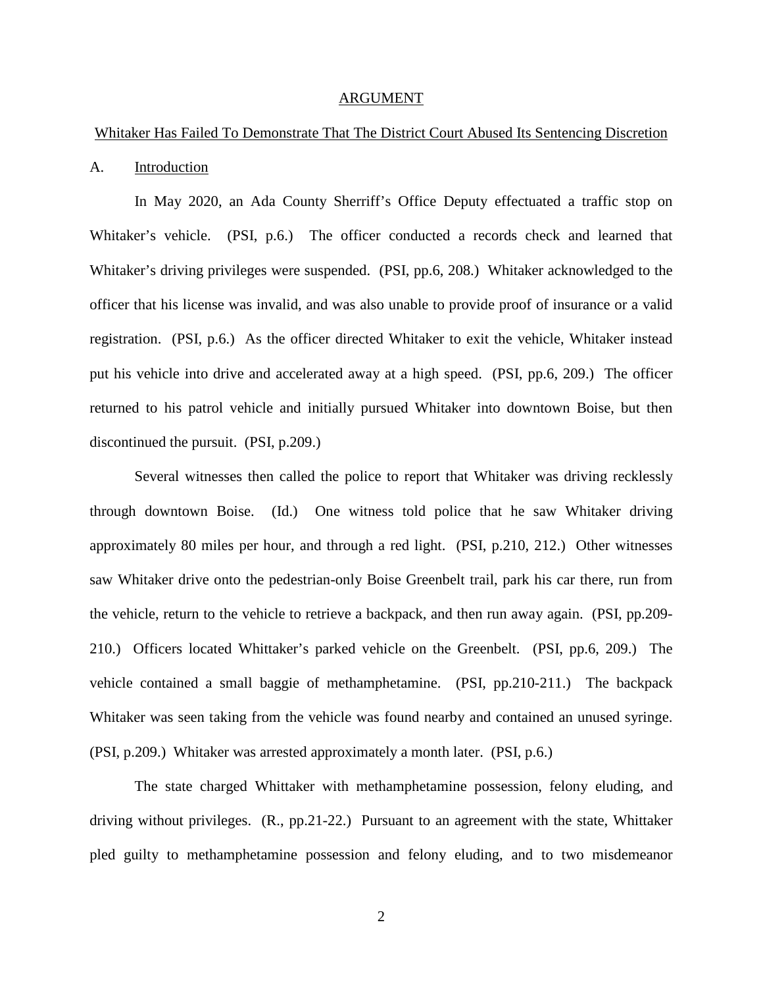#### ARGUMENT

# Whitaker Has Failed To Demonstrate That The District Court Abused Its Sentencing Discretion

#### A. Introduction

In May 2020, an Ada County Sherriff's Office Deputy effectuated a traffic stop on Whitaker's vehicle. (PSI, p.6.) The officer conducted a records check and learned that Whitaker's driving privileges were suspended. (PSI, pp.6, 208.) Whitaker acknowledged to the officer that his license was invalid, and was also unable to provide proof of insurance or a valid registration. (PSI, p.6.) As the officer directed Whitaker to exit the vehicle, Whitaker instead put his vehicle into drive and accelerated away at a high speed. (PSI, pp.6, 209.) The officer returned to his patrol vehicle and initially pursued Whitaker into downtown Boise, but then discontinued the pursuit. (PSI, p.209.)

Several witnesses then called the police to report that Whitaker was driving recklessly through downtown Boise. (Id.) One witness told police that he saw Whitaker driving approximately 80 miles per hour, and through a red light. (PSI, p.210, 212.) Other witnesses saw Whitaker drive onto the pedestrian-only Boise Greenbelt trail, park his car there, run from the vehicle, return to the vehicle to retrieve a backpack, and then run away again. (PSI, pp.209- 210.) Officers located Whittaker's parked vehicle on the Greenbelt. (PSI, pp.6, 209.) The vehicle contained a small baggie of methamphetamine. (PSI, pp.210-211.) The backpack Whitaker was seen taking from the vehicle was found nearby and contained an unused syringe. (PSI, p.209.) Whitaker was arrested approximately a month later. (PSI, p.6.)

The state charged Whittaker with methamphetamine possession, felony eluding, and driving without privileges. (R., pp.21-22.) Pursuant to an agreement with the state, Whittaker pled guilty to methamphetamine possession and felony eluding, and to two misdemeanor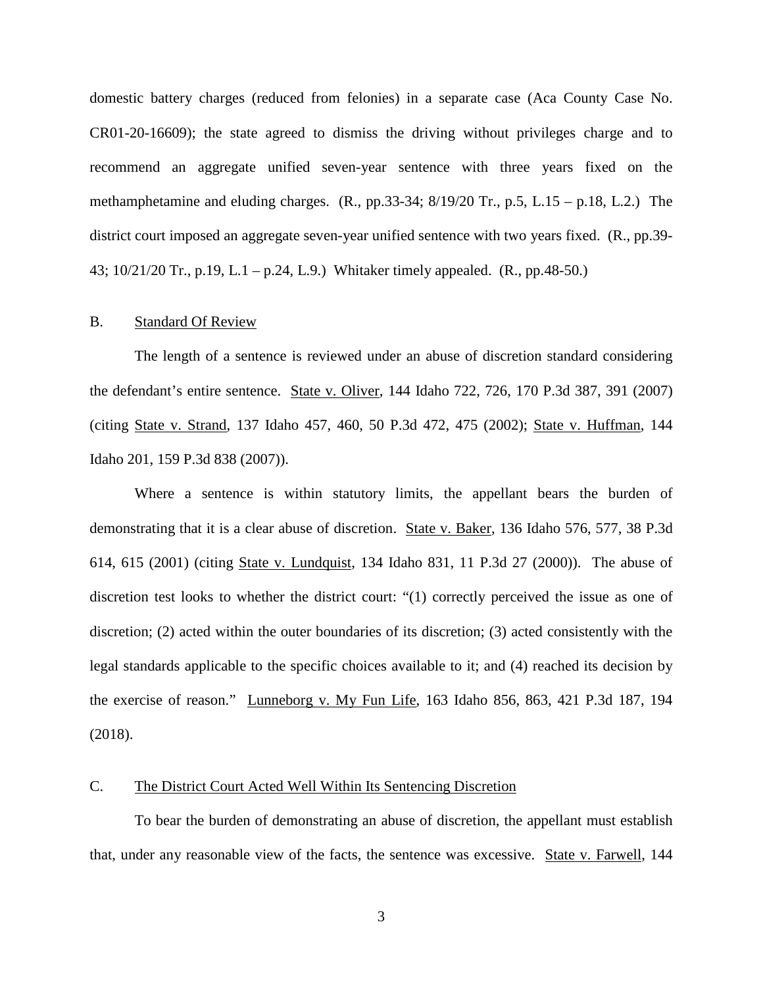domestic battery charges (reduced from felonies) in a separate case (Aca County Case No. CR01-20-16609); the state agreed to dismiss the driving without privileges charge and to recommend an aggregate unified seven-year sentence with three years fixed on the methamphetamine and eluding charges.  $(R., pp.33-34; 8/19/20 \text{ Tr.}, p.5, L.15 - p.18, L.2.)$  The district court imposed an aggregate seven-year unified sentence with two years fixed. (R., pp.39- 43; 10/21/20 Tr., p.19, L.1 – p.24, L.9.) Whitaker timely appealed. (R., pp.48-50.)

### B. Standard Of Review

The length of a sentence is reviewed under an abuse of discretion standard considering the defendant's entire sentence. State v. Oliver, 144 Idaho 722, 726, 170 P.3d 387, 391 (2007) (citing State v. Strand, 137 Idaho 457, 460, 50 P.3d 472, 475 (2002); State v. Huffman, 144 Idaho 201, 159 P.3d 838 (2007)).

Where a sentence is within statutory limits, the appellant bears the burden of demonstrating that it is a clear abuse of discretion. State v. Baker, 136 Idaho 576, 577, 38 P.3d 614, 615 (2001) (citing State v. Lundquist, 134 Idaho 831, 11 P.3d 27 (2000)). The abuse of discretion test looks to whether the district court: "(1) correctly perceived the issue as one of discretion; (2) acted within the outer boundaries of its discretion; (3) acted consistently with the legal standards applicable to the specific choices available to it; and (4) reached its decision by the exercise of reason." Lunneborg v. My Fun Life, 163 Idaho 856, 863, 421 P.3d 187, 194 (2018).

# C. The District Court Acted Well Within Its Sentencing Discretion

To bear the burden of demonstrating an abuse of discretion, the appellant must establish that, under any reasonable view of the facts, the sentence was excessive. State v. Farwell, 144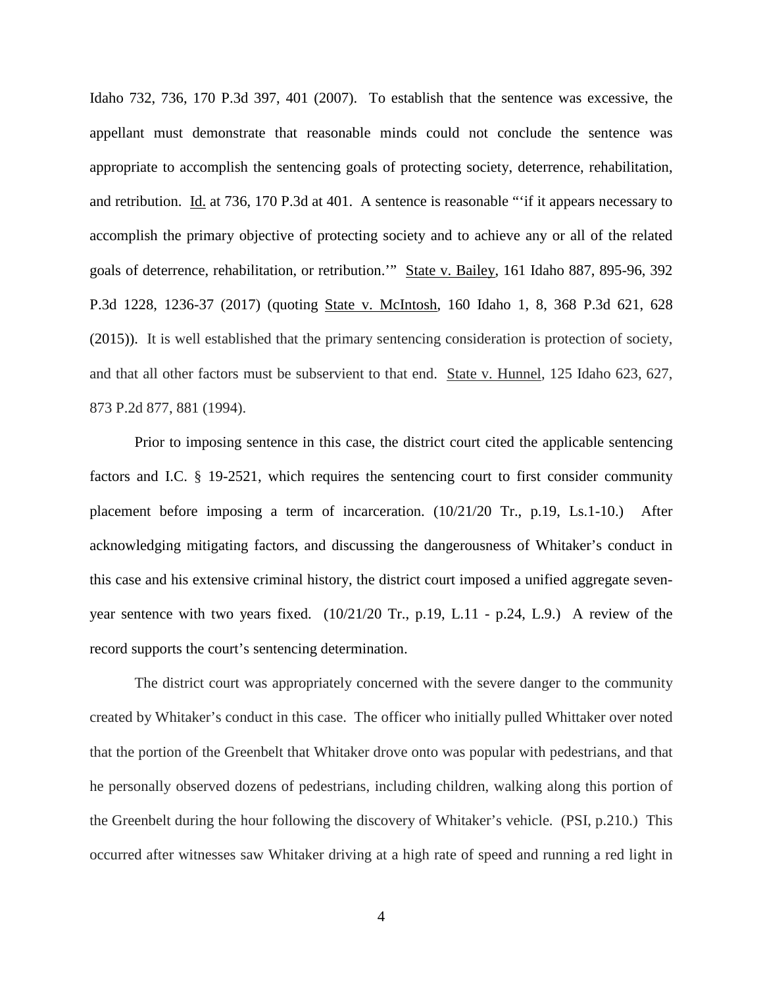Idaho 732, 736, 170 P.3d 397, 401 (2007). To establish that the sentence was excessive, the appellant must demonstrate that reasonable minds could not conclude the sentence was appropriate to accomplish the sentencing goals of protecting society, deterrence, rehabilitation, and retribution. Id. at 736, 170 P.3d at 401. A sentence is reasonable "'if it appears necessary to accomplish the primary objective of protecting society and to achieve any or all of the related goals of deterrence, rehabilitation, or retribution.'" State v. Bailey, 161 Idaho 887, 895-96, 392 P.3d 1228, 1236-37 (2017) (quoting State v. McIntosh, 160 Idaho 1, 8, 368 P.3d 621, 628 (2015)). It is well established that the primary sentencing consideration is protection of society, and that all other factors must be subservient to that end. State v. Hunnel, 125 Idaho 623, 627, 873 P.2d 877, 881 (1994).

Prior to imposing sentence in this case, the district court cited the applicable sentencing factors and I.C. § 19-2521, which requires the sentencing court to first consider community placement before imposing a term of incarceration. (10/21/20 Tr., p.19, Ls.1-10.) After acknowledging mitigating factors, and discussing the dangerousness of Whitaker's conduct in this case and his extensive criminal history, the district court imposed a unified aggregate sevenyear sentence with two years fixed. (10/21/20 Tr., p.19, L.11 - p.24, L.9.) A review of the record supports the court's sentencing determination.

The district court was appropriately concerned with the severe danger to the community created by Whitaker's conduct in this case. The officer who initially pulled Whittaker over noted that the portion of the Greenbelt that Whitaker drove onto was popular with pedestrians, and that he personally observed dozens of pedestrians, including children, walking along this portion of the Greenbelt during the hour following the discovery of Whitaker's vehicle. (PSI, p.210.) This occurred after witnesses saw Whitaker driving at a high rate of speed and running a red light in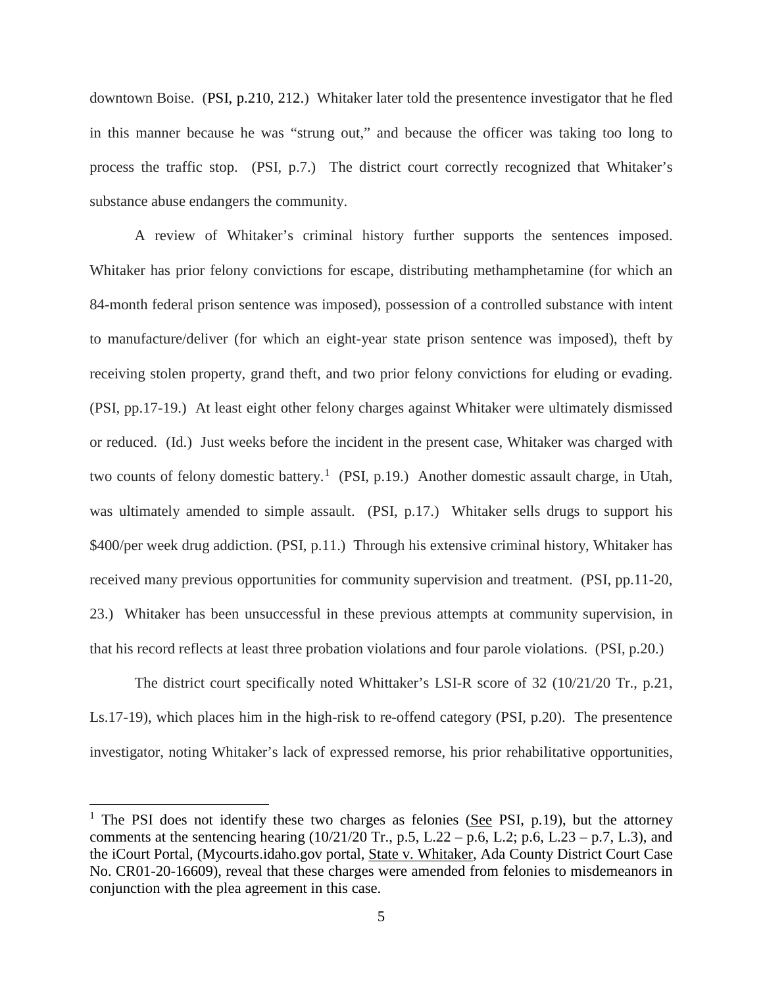downtown Boise. (PSI, p.210, 212.) Whitaker later told the presentence investigator that he fled in this manner because he was "strung out," and because the officer was taking too long to process the traffic stop. (PSI, p.7.) The district court correctly recognized that Whitaker's substance abuse endangers the community.

A review of Whitaker's criminal history further supports the sentences imposed. Whitaker has prior felony convictions for escape, distributing methamphetamine (for which an 84-month federal prison sentence was imposed), possession of a controlled substance with intent to manufacture/deliver (for which an eight-year state prison sentence was imposed), theft by receiving stolen property, grand theft, and two prior felony convictions for eluding or evading. (PSI, pp.17-19.) At least eight other felony charges against Whitaker were ultimately dismissed or reduced. (Id.) Just weeks before the incident in the present case, Whitaker was charged with two counts of felony domestic battery.<sup>[1](#page-5-0)</sup> (PSI, p.19.) Another domestic assault charge, in Utah, was ultimately amended to simple assault. (PSI, p.17.) Whitaker sells drugs to support his \$400/per week drug addiction. (PSI, p.11.) Through his extensive criminal history, Whitaker has received many previous opportunities for community supervision and treatment. (PSI, pp.11-20, 23.) Whitaker has been unsuccessful in these previous attempts at community supervision, in that his record reflects at least three probation violations and four parole violations. (PSI, p.20.)

The district court specifically noted Whittaker's LSI-R score of 32 (10/21/20 Tr., p.21, Ls.17-19), which places him in the high-risk to re-offend category (PSI, p.20). The presentence investigator, noting Whitaker's lack of expressed remorse, his prior rehabilitative opportunities,

 $\overline{a}$ 

<span id="page-5-0"></span><sup>&</sup>lt;sup>1</sup> The PSI does not identify these two charges as felonies (See PSI, p.19), but the attorney comments at the sentencing hearing  $(10/21/20 \text{ Tr.}, p.5, L.22 - p.6, L.2; p.6, L.23 - p.7, L.3)$ , and the iCourt Portal, (Mycourts.idaho.gov portal, State v. Whitaker, Ada County District Court Case No. CR01-20-16609), reveal that these charges were amended from felonies to misdemeanors in conjunction with the plea agreement in this case.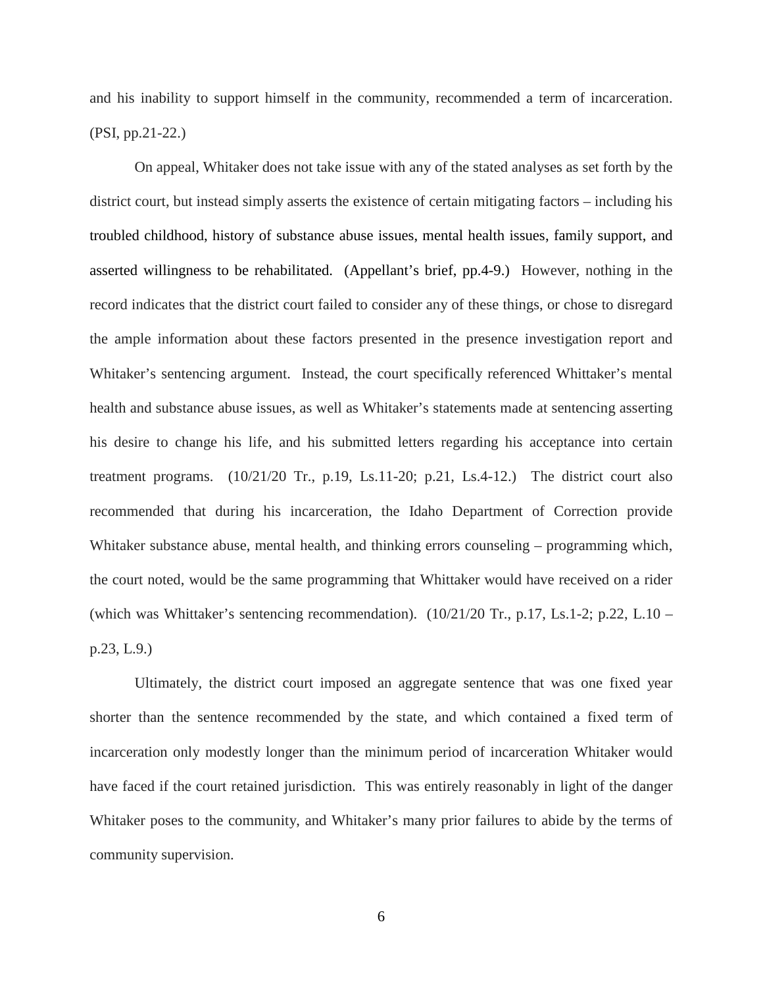and his inability to support himself in the community, recommended a term of incarceration. (PSI, pp.21-22.)

On appeal, Whitaker does not take issue with any of the stated analyses as set forth by the district court, but instead simply asserts the existence of certain mitigating factors – including his troubled childhood, history of substance abuse issues, mental health issues, family support, and asserted willingness to be rehabilitated. (Appellant's brief, pp.4-9.) However, nothing in the record indicates that the district court failed to consider any of these things, or chose to disregard the ample information about these factors presented in the presence investigation report and Whitaker's sentencing argument. Instead, the court specifically referenced Whittaker's mental health and substance abuse issues, as well as Whitaker's statements made at sentencing asserting his desire to change his life, and his submitted letters regarding his acceptance into certain treatment programs.  $(10/21/20 \text{ Tr}$ , p.19, Ls.11-20; p.21, Ls.4-12.) The district court also recommended that during his incarceration, the Idaho Department of Correction provide Whitaker substance abuse, mental health, and thinking errors counseling – programming which, the court noted, would be the same programming that Whittaker would have received on a rider (which was Whittaker's sentencing recommendation).  $(10/21/20 \text{ Tr}, p.17, Ls.1-2; p.22, L.10$  – p.23, L.9.)

Ultimately, the district court imposed an aggregate sentence that was one fixed year shorter than the sentence recommended by the state, and which contained a fixed term of incarceration only modestly longer than the minimum period of incarceration Whitaker would have faced if the court retained jurisdiction. This was entirely reasonably in light of the danger Whitaker poses to the community, and Whitaker's many prior failures to abide by the terms of community supervision.